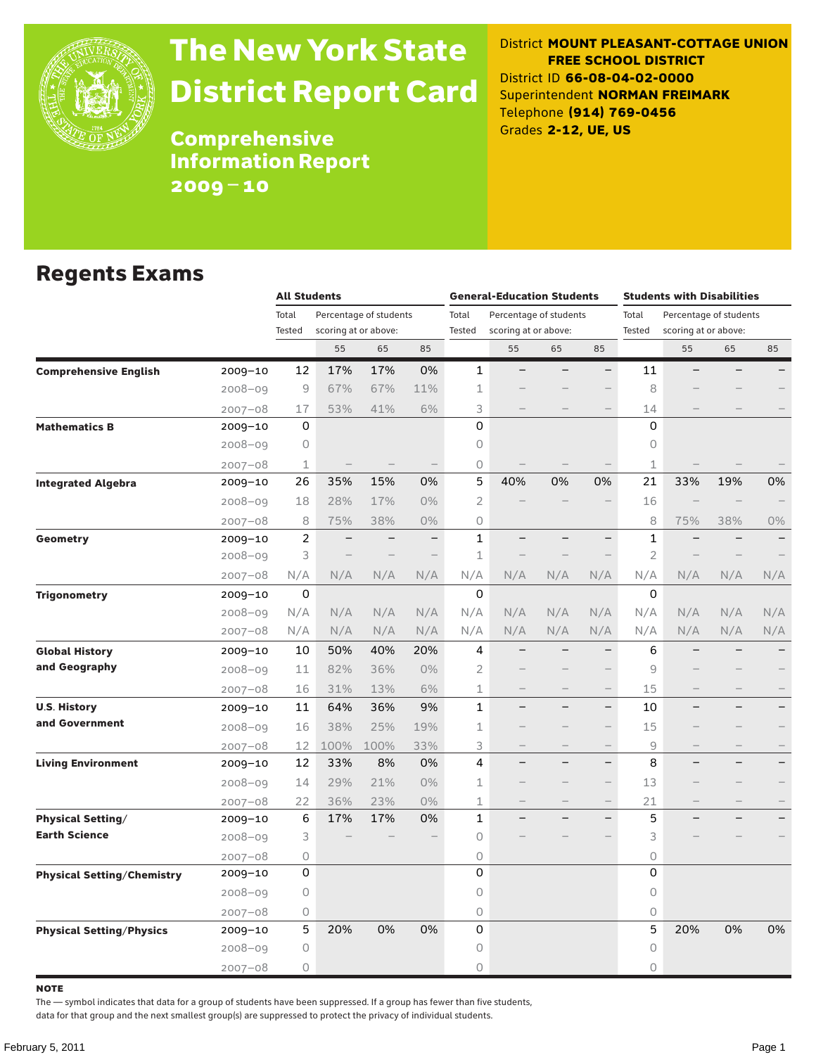

# The New York State District Report Card

District **MOUNT PLEASANT-COTTAGE UNION FREE SCHOOL DISTRICT** District ID **66-08-04-02-0000** Superintendent **NORMAN FREIMARK** Telephone **(914) 769-0456** Grades **2-12, UE, US**

**Comprehensive** Information Report 2009–10

#### Regents Exams

|                                   |             |                                                           | <b>All Students</b>      |                        |                          |                | <b>General-Education Students</b> |                        |                          |                | <b>Students with Disabilities</b> |                   |                          |  |
|-----------------------------------|-------------|-----------------------------------------------------------|--------------------------|------------------------|--------------------------|----------------|-----------------------------------|------------------------|--------------------------|----------------|-----------------------------------|-------------------|--------------------------|--|
|                                   |             | Total                                                     |                          | Percentage of students |                          | Total          |                                   | Percentage of students |                          | Total          | Percentage of students            |                   |                          |  |
|                                   |             | Tested                                                    | scoring at or above:     |                        |                          | <b>Tested</b>  | scoring at or above:              |                        |                          | Tested         | scoring at or above:              |                   |                          |  |
|                                   |             |                                                           | 55                       | 65                     | 85                       |                | 55                                | 65                     | 85                       |                | 55                                | 65                | 85                       |  |
| <b>Comprehensive English</b>      | 2009-10     | 12                                                        | 17%                      | 17%                    | 0%                       | $\mathbf{1}$   |                                   |                        |                          | 11             |                                   |                   |                          |  |
|                                   | $2008 - 09$ | $\mathcal{G}% _{M_{1},M_{2}}^{\alpha,\beta}(\varepsilon)$ | 67%                      | 67%                    | 11%                      | $\mathbf 1$    |                                   |                        |                          | 8              |                                   |                   |                          |  |
|                                   | $2007 - 08$ | 17                                                        | 53%                      | 41%                    | 6%                       | 3              |                                   |                        |                          | 14             |                                   |                   |                          |  |
| <b>Mathematics B</b>              | 2009-10     | $\mathbf 0$                                               |                          |                        |                          | 0              |                                   |                        |                          | 0              |                                   |                   |                          |  |
|                                   | $2008 - 09$ | $\bigcirc$                                                |                          |                        |                          | 0              |                                   |                        |                          | 0              |                                   |                   |                          |  |
|                                   | $2007 - 08$ | $\perp$                                                   |                          |                        |                          | 0              |                                   |                        |                          | $\perp$        |                                   |                   |                          |  |
| <b>Integrated Algebra</b>         | 2009-10     | 26                                                        | 35%                      | 15%                    | 0%                       | 5              | 40%                               | 0%                     | 0%                       | 21             | 33%                               | 19%               | 0%                       |  |
|                                   | $2008 - 09$ | 18                                                        | 28%                      | 17%                    | $0\%$                    | $\mathbf{2}$   |                                   |                        |                          | 16             |                                   |                   |                          |  |
|                                   | $2007 - 08$ | 8                                                         | 75%                      | 38%                    | $0\%$                    | 0              |                                   |                        |                          | 8              | 75%                               | 38%               | 0%                       |  |
| <b>Geometry</b>                   | $2009 - 10$ | $\overline{c}$                                            | $\overline{\phantom{0}}$ |                        | $\overline{\phantom{0}}$ | 1              |                                   |                        | $\overline{\phantom{0}}$ | 1              |                                   |                   | $\overline{\phantom{0}}$ |  |
|                                   | $2008 - 09$ | 3                                                         |                          |                        |                          | $\mathbf 1$    |                                   |                        |                          | $\overline{2}$ |                                   |                   |                          |  |
|                                   | $2007 - 08$ | N/A                                                       | N/A                      | N/A                    | N/A                      | N/A            | N/A                               | N/A                    | N/A                      | N/A            | N/A                               | N/A               | N/A                      |  |
| <b>Trigonometry</b>               | 2009-10     | 0                                                         |                          |                        |                          | $\Omega$       |                                   |                        |                          | 0              |                                   |                   |                          |  |
|                                   | $2008 - 09$ | N/A                                                       | N/A                      | N/A                    | N/A                      | N/A            | N/A                               | N/A                    | N/A                      | N/A            | N/A                               | N/A               | N/A                      |  |
|                                   | $2007 - 08$ | N/A                                                       | N/A                      | N/A                    | N/A                      | N/A            | N/A                               | N/A                    | N/A                      | N/A            | N/A                               | N/A               | N/A                      |  |
| <b>Global History</b>             | $2009 - 10$ | 10                                                        | 50%                      | 40%                    | 20%                      | 4              |                                   |                        | $\overline{\phantom{0}}$ | 6              |                                   |                   |                          |  |
| and Geography                     | $2008 - 09$ | 11                                                        | 82%                      | 36%                    | $0\%$                    | $\overline{2}$ |                                   |                        |                          | 9              |                                   |                   |                          |  |
|                                   | $2007 - 08$ | 16                                                        | 31%                      | 13%                    | 6%                       | $\mathbf 1$    |                                   |                        |                          | 15             |                                   |                   |                          |  |
| <b>U.S. History</b>               | $2009 - 10$ | 11                                                        | 64%                      | 36%                    | 9%                       | $\mathbf{1}$   |                                   |                        |                          | 10             |                                   |                   |                          |  |
| and Government                    | $2008 - 09$ | 16                                                        | 38%                      | 25%                    | 19%                      | 1              |                                   |                        |                          | 15             |                                   |                   |                          |  |
|                                   | $2007 - 08$ | 12                                                        | 100%                     | 100%                   | 33%                      | 3              | $\qquad \qquad -$                 |                        | $\overline{\phantom{m}}$ | 9              | $\qquad \qquad$                   | $\qquad \qquad -$ |                          |  |
| <b>Living Environment</b>         | 2009-10     | 12                                                        | 33%                      | 8%                     | 0%                       | 4              |                                   |                        | $\overline{\phantom{0}}$ | 8              |                                   |                   |                          |  |
|                                   | $2008 - 09$ | 14                                                        | 29%                      | 21%                    | $0\%$                    | $\mathbf 1$    |                                   |                        |                          | 13             |                                   |                   |                          |  |
|                                   | $2007 - 08$ | 22                                                        | 36%                      | 23%                    | 0%                       | $\mathbf 1$    | $\qquad \qquad -$                 |                        | $\overline{\phantom{m}}$ | 21             |                                   | $\qquad \qquad -$ |                          |  |
| <b>Physical Setting/</b>          | 2009-10     | 6                                                         | 17%                      | 17%                    | 0%                       | $\mathbf{1}$   |                                   |                        | $\equiv$                 | 5              |                                   |                   |                          |  |
| <b>Earth Science</b>              | $2008 - 09$ | 3                                                         |                          |                        |                          | 0              |                                   |                        |                          | 3              |                                   |                   |                          |  |
|                                   | $2007 - 08$ | 0                                                         |                          |                        |                          | 0              |                                   |                        |                          | 0              |                                   |                   |                          |  |
| <b>Physical Setting/Chemistry</b> | $2009 - 10$ | 0                                                         |                          |                        |                          | 0              |                                   |                        |                          | 0              |                                   |                   |                          |  |
|                                   | $2008 - 09$ | $\circ$                                                   |                          |                        |                          | 0              |                                   |                        |                          | $\circ$        |                                   |                   |                          |  |
|                                   | $2007 - 08$ | 0                                                         |                          |                        |                          | 0              |                                   |                        |                          | $\bigcirc$     |                                   |                   |                          |  |
| <b>Physical Setting/Physics</b>   | 2009-10     | 5                                                         | 20%                      | 0%                     | 0%                       | 0              |                                   |                        |                          | 5              | 20%                               | 0%                | 0%                       |  |
|                                   | $2008 - 09$ | 0                                                         |                          |                        |                          | 0              |                                   |                        |                          | 0              |                                   |                   |                          |  |
|                                   | $2007 - 08$ | 0                                                         |                          |                        |                          | 0              |                                   |                        |                          | 0              |                                   |                   |                          |  |

note

The — symbol indicates that data for a group of students have been suppressed. If a group has fewer than five students,

data for that group and the next smallest group(s) are suppressed to protect the privacy of individual students.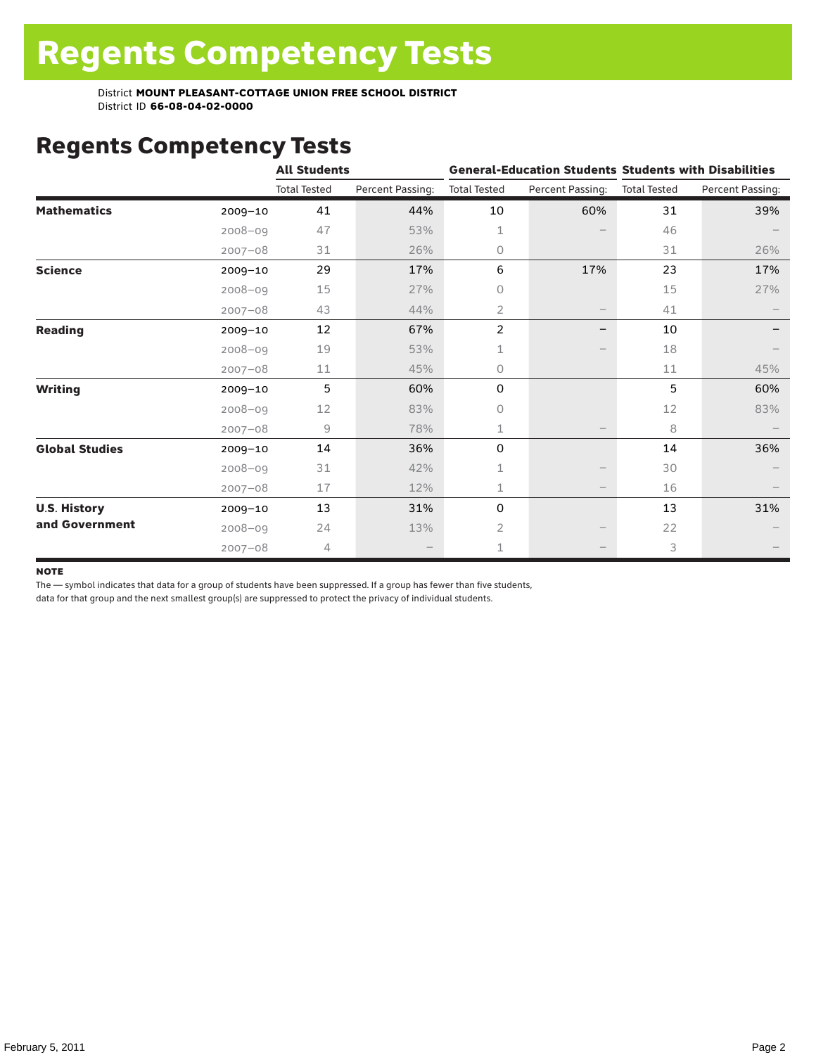## Regents Competency Tests

|                       |             | <b>All Students</b> |                  |                     |                   | <b>General-Education Students Students with Disabilities</b> |                  |  |
|-----------------------|-------------|---------------------|------------------|---------------------|-------------------|--------------------------------------------------------------|------------------|--|
|                       |             | <b>Total Tested</b> | Percent Passing: | <b>Total Tested</b> | Percent Passing:  | <b>Total Tested</b>                                          | Percent Passing: |  |
| <b>Mathematics</b>    | $2009 - 10$ | 41                  | 44%              | 10                  | 60%               | 31                                                           | 39%              |  |
|                       | $2008 - 09$ | 47                  | 53%              | 1                   |                   | 46                                                           |                  |  |
|                       | $2007 - 08$ | 31                  | 26%              | 0                   |                   | 31                                                           | 26%              |  |
| <b>Science</b>        | $2009 - 10$ | 29                  | 17%              | 6                   | 17%               | 23                                                           | 17%              |  |
|                       | $2008 - 09$ | 15                  | 27%              | 0                   |                   | 15                                                           | 27%              |  |
|                       | $2007 - 08$ | 43                  | 44%              | 2                   | $\qquad \qquad -$ | 41                                                           |                  |  |
| <b>Reading</b>        | $2009 - 10$ | 12                  | 67%              | $\overline{c}$      | —                 | 10                                                           |                  |  |
|                       | $2008 - 09$ | 19                  | 53%              | 1                   |                   | 18                                                           |                  |  |
|                       | $2007 - 08$ | 11                  | 45%              | 0                   |                   | 11                                                           | 45%              |  |
| <b>Writing</b>        | $2009 - 10$ | 5                   | 60%              | 0                   |                   | 5                                                            | 60%              |  |
|                       | $2008 - 09$ | 12                  | 83%              | 0                   |                   | 12                                                           | 83%              |  |
|                       | $2007 - 08$ | 9                   | 78%              | 1                   |                   | 8                                                            |                  |  |
| <b>Global Studies</b> | $2009 - 10$ | 14                  | 36%              | 0                   |                   | 14                                                           | 36%              |  |
|                       | $2008 - 09$ | 31                  | 42%              | 1                   |                   | 30                                                           |                  |  |
|                       | $2007 - 08$ | 17                  | 12%              | 1                   |                   | 16                                                           |                  |  |
| <b>U.S. History</b>   | 2009-10     | 13                  | 31%              | 0                   |                   | 13                                                           | 31%              |  |
| and Government        | $2008 - 09$ | 24                  | 13%              | $\overline{2}$      |                   | 22                                                           |                  |  |
|                       | $2007 - 08$ | 4                   |                  | 1                   |                   | 3                                                            |                  |  |

#### **NOTE**

The — symbol indicates that data for a group of students have been suppressed. If a group has fewer than five students,

data for that group and the next smallest group(s) are suppressed to protect the privacy of individual students.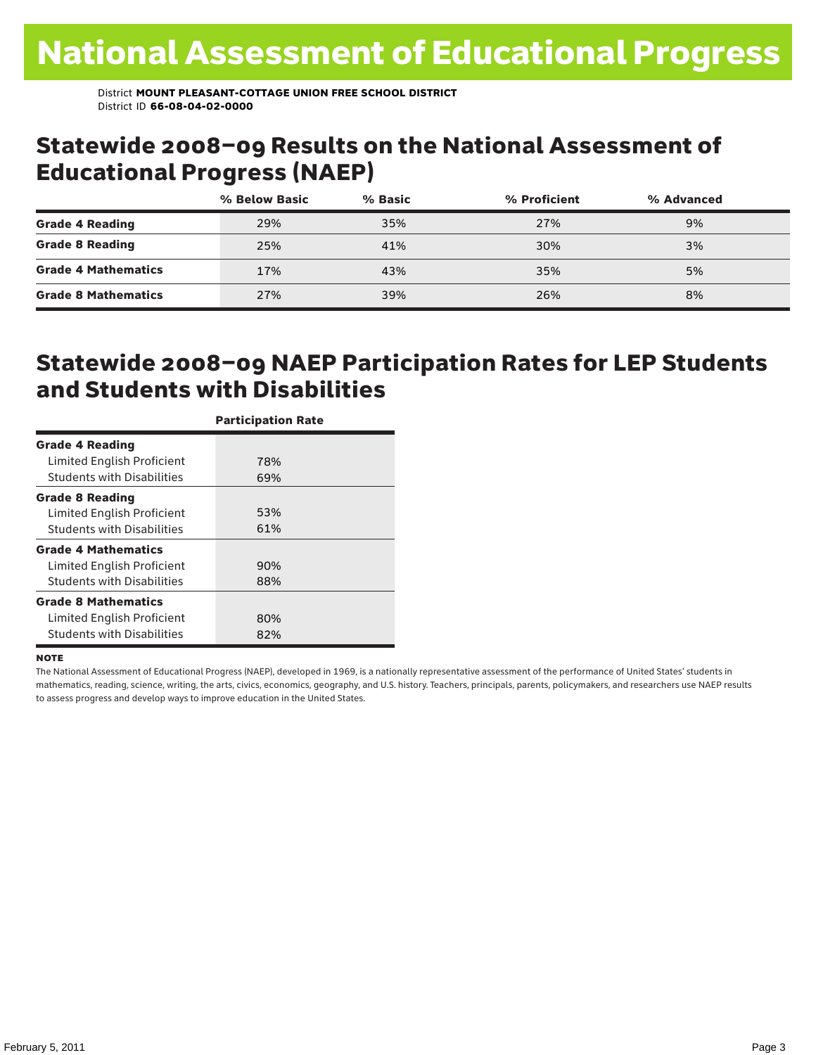#### Statewide 2008–09 Results on the National Assessment of Educational Progress (NAEP)

|                            | % Below Basic | % Basic | % Proficient | % Advanced |  |
|----------------------------|---------------|---------|--------------|------------|--|
| <b>Grade 4 Reading</b>     | 29%           | 35%     | 27%          | 9%         |  |
| <b>Grade 8 Reading</b>     | 25%           | 41%     | 30%          | 3%         |  |
| <b>Grade 4 Mathematics</b> | 17%           | 43%     | 35%          | 5%         |  |
| <b>Grade 8 Mathematics</b> | 27%           | 39%     | 26%          | 8%         |  |

#### Statewide 2008–09 NAEP Participation Rates for LEP Students and Students with Disabilities

|                                   | <b>Participation Rate</b> |
|-----------------------------------|---------------------------|
| <b>Grade 4 Reading</b>            |                           |
| Limited English Proficient        | 78%                       |
| <b>Students with Disabilities</b> | 69%                       |
| <b>Grade 8 Reading</b>            |                           |
| Limited English Proficient        | 53%                       |
| <b>Students with Disabilities</b> | 61%                       |
| <b>Grade 4 Mathematics</b>        |                           |
| Limited English Proficient        | 90%                       |
| <b>Students with Disabilities</b> | 88%                       |
| <b>Grade 8 Mathematics</b>        |                           |
| Limited English Proficient        | 80%                       |
| <b>Students with Disabilities</b> | 82%                       |

#### **NOTE**

The National Assessment of Educational Progress (NAEP), developed in 1969, is a nationally representative assessment of the performance of United States' students in mathematics, reading, science, writing, the arts, civics, economics, geography, and U.S. history. Teachers, principals, parents, policymakers, and researchers use NAEP results to assess progress and develop ways to improve education in the United States.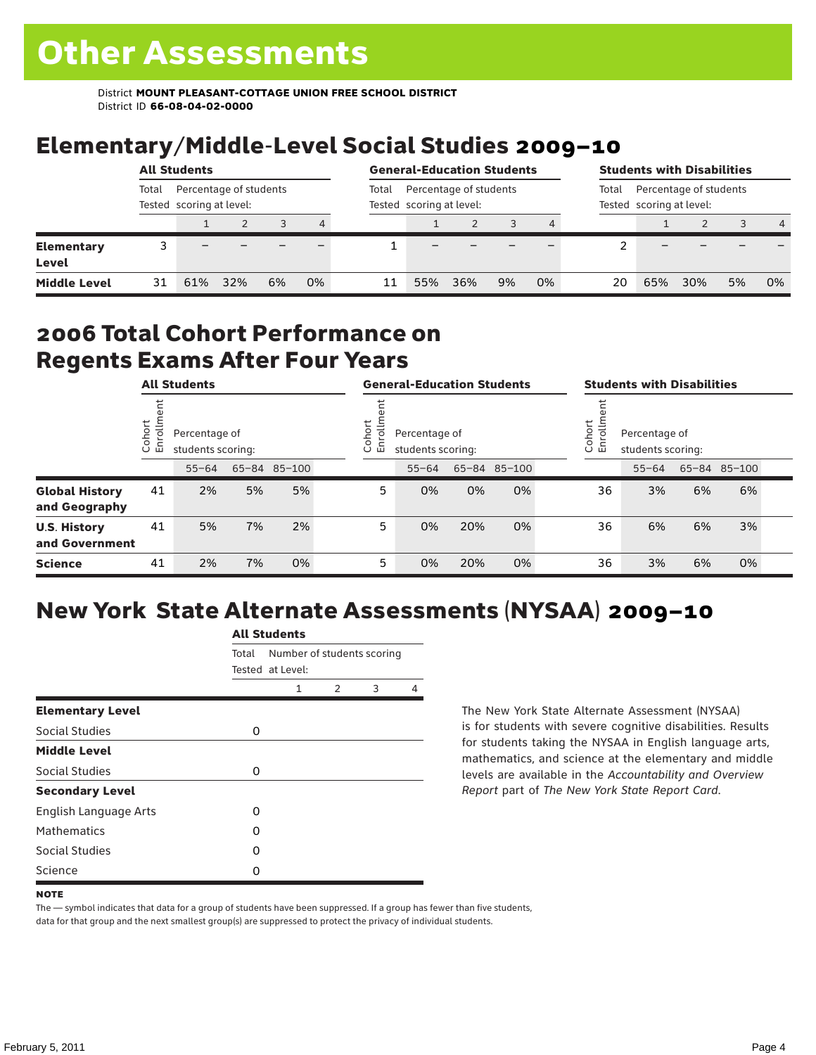# Elementary/Middle-Level Social Studies 2009–10

|                            | <b>All Students</b>                                         |     |     |    |    |       | <b>General-Education Students</b>                  |     |    |    |       | <b>Students with Disabilities</b>                  |     |    |                |  |
|----------------------------|-------------------------------------------------------------|-----|-----|----|----|-------|----------------------------------------------------|-----|----|----|-------|----------------------------------------------------|-----|----|----------------|--|
|                            | Percentage of students<br>Total<br>Tested scoring at level: |     |     |    |    | Total | Percentage of students<br>Tested scoring at level: |     |    |    | Total | Percentage of students<br>Tested scoring at level: |     |    |                |  |
|                            |                                                             |     |     |    | 4  |       |                                                    |     |    |    |       |                                                    |     |    | $\overline{4}$ |  |
| <b>Elementary</b><br>Level |                                                             |     |     |    |    |       |                                                    |     |    |    |       |                                                    |     |    |                |  |
| <b>Middle Level</b>        | 31                                                          | 61% | 32% | 6% | 0% | 11    | 55%                                                | 36% | 9% | 0% | 20    | 65%                                                | 30% | 5% | 0%             |  |

#### 2006 Total Cohort Performance on Regents Exams After Four Years

|                                        |                        |                                    |    | <b>All Students</b> |                              |                                    |     | <b>General-Education Students</b> |  |                                                               |           |    | <b>Students with Disabilities</b> |  |  |  |
|----------------------------------------|------------------------|------------------------------------|----|---------------------|------------------------------|------------------------------------|-----|-----------------------------------|--|---------------------------------------------------------------|-----------|----|-----------------------------------|--|--|--|
|                                        | Cohort<br>$\circ$<br>一 | Percentage of<br>students scoring: |    |                     | Cohort<br>$\frac{1}{2}$<br>모 | Percentage of<br>students scoring: |     |                                   |  | Cohort<br>$=$<br>Percentage of<br>5<br>문<br>students scoring: |           |    |                                   |  |  |  |
|                                        |                        | $55 - 64$                          |    | 65-84 85-100        |                              | $55 - 64$                          |     | 65-84 85-100                      |  |                                                               | $55 - 64$ |    | 65-84 85-100                      |  |  |  |
| <b>Global History</b><br>and Geography | 41                     | 2%                                 | 5% | 5%                  | 5                            | 0%                                 | 0%  | 0%                                |  | 36                                                            | 3%        | 6% | 6%                                |  |  |  |
| <b>U.S. History</b><br>and Government  | 41                     | 5%                                 | 7% | 2%                  | 5                            | 0%                                 | 20% | 0%                                |  | 36                                                            | 6%        | 6% | 3%                                |  |  |  |
| <b>Science</b>                         | 41                     | 2%                                 | 7% | 0%                  | 5                            | 0%                                 | 20% | 0%                                |  | 36                                                            | 3%        | 6% | 0%                                |  |  |  |

## New York State Alternate Assessments (NYSAA) 2009–10

|                         | <b>All Students</b> |                                                |               |   |   |  |  |  |  |  |
|-------------------------|---------------------|------------------------------------------------|---------------|---|---|--|--|--|--|--|
|                         | Total               | Number of students scoring<br>Tested at Level: |               |   |   |  |  |  |  |  |
|                         |                     | 1                                              | $\mathcal{P}$ | 3 | 4 |  |  |  |  |  |
| <b>Elementary Level</b> |                     |                                                |               |   |   |  |  |  |  |  |
| Social Studies          | 0                   |                                                |               |   |   |  |  |  |  |  |
| <b>Middle Level</b>     |                     |                                                |               |   |   |  |  |  |  |  |
| Social Studies          | 0                   |                                                |               |   |   |  |  |  |  |  |
| <b>Secondary Level</b>  |                     |                                                |               |   |   |  |  |  |  |  |
| English Language Arts   | O                   |                                                |               |   |   |  |  |  |  |  |
| <b>Mathematics</b>      | O                   |                                                |               |   |   |  |  |  |  |  |
| Social Studies          | O                   |                                                |               |   |   |  |  |  |  |  |
| Science                 | 0                   |                                                |               |   |   |  |  |  |  |  |

The New York State Alternate Assessment (NYSAA) is for students with severe cognitive disabilities. Results for students taking the NYSAA in English language arts, mathematics, and science at the elementary and middle levels are available in the *Accountability and Overview Report* part of *The New York State Report Card*.

The — symbol indicates that data for a group of students have been suppressed. If a group has fewer than five students, data for that group and the next smallest group(s) are suppressed to protect the privacy of individual students.

**NOTE**